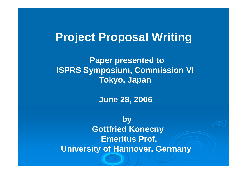# **Project Proposal Writing**

**Paper presented to ISPRS Symposium, Commission VI Tokyo, Japan**

**June 28, 2006**

**by Gottfried Konecny Emeritus Prof. University of Hannover, Germany**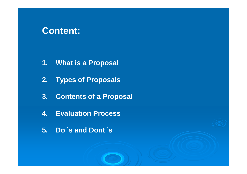# **Content:**

- **1. What is a Proposal**
- **2. Types of Proposals**
- **3. Contents of a Proposal**
- **4. Evaluation Process**
- **5. Do**´**s and Dont**´**s**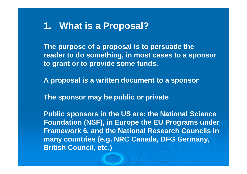# **1. What is a Proposal?**

**The purpose of a proposal is to persuade the reader to do something, in most cases to a sponsor to grant or to provide some funds.**

**A proposal is a written document to a sponsor**

**The sponsor may be public or private**

**Public sponsors in the US are: the National Science Foundation (NSF), in Europe the EU Programs under Framework 6, and the National Research Councils in many countries (e.g. NRC Canada, DFG Germany, British Council, etc.)**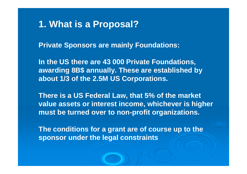# **1. What is a Proposal?**

**Private Sponsors are mainly Foundations:**

**In the US there are 43 000 Private Foundations, awarding 8B\$ annually. These are established by about 1/3 of the 2.5M US Corporations.**

**There is a US Federal Law, that 5% of the market value assets or interest income, whichever is higher must be turned over to non-profit organizations.**

**The conditions for a grant are of course up to the sponsor under the legal constraints**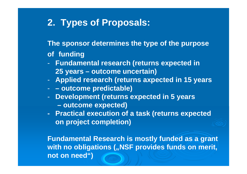# **2. Types of Proposals:**

**The sponsor determines the type of the purpose**

#### **of funding**

- - **Fundamental research (returns expected in 25 years – outcome uncertain)**
- -**Applied research (returns axpected in 15 years**
- -**– outcome predictable)**
- - **Development (returns expected in 5 years**
	- **– outcome expected)**
- **Practical execution of a task (returns expected on project completion)**

**Fundamental Research is mostly funded as a grant with no obligations ("NSF provides funds on merit, not on need")**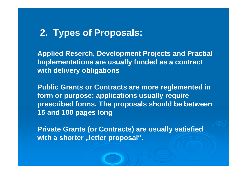# **2. Types of Proposals:**

**Applied Reserch, Development Projects and Practial Implementations are usually funded as a contract with delivery obligations**

**Public Grants or Contracts are more reglemented in form or purpose; applications usually require prescribed forms. The proposals should be between 15 and 100 pages long**

**Private Grants (or Contracts) are usually satisfied with a shorter "letter proposal".**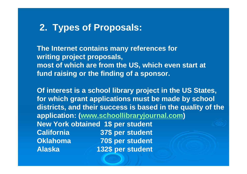# **2. Types of Proposals:**

**The Internet contains many references for writing project proposals, most of which are from the US, which even start at fund raising or the finding of a sponsor.**

**Of interest is a school library project in the US States, for which grant applications must be made by school districts, and their success is based in the quality of the application: (www.schoollibraryjournal.com) New York obtained 1\$ per student California 37\$ per student Oklahoma 70\$ per student Alaska 132\$ per student**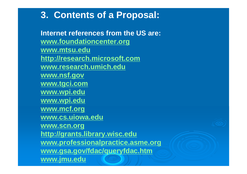**Internet references from the US are: www.foundationcenter.org www.mtsu.edu http://research.microsoft.com www.research.umich.edu www.nsf.gov www.tgci.com www.wpi.edu www.wpi.edu www.mcf.org www.cs.uiowa.edu www.scn.org http://grants.library.wisc.edu www.professionalpractice.asme.org www.gsa.gov/fdac/queryfdac.htm www.jmu.edu**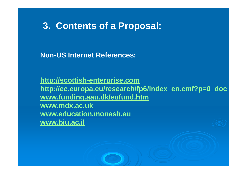**Non-US Internet References:**

**http://scottish-enterprise.com http://ec.europa.eu/research/fp6/index\_en.cmf?p=0\_doc www.funding.aau.dk/eufund.htm www.mdx.ac.uk www.education.monash.au www.biu.ac.il**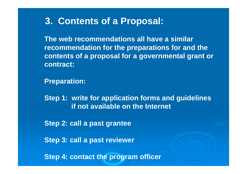**The web recommendations all have a similarrecommendation for the preparations for and the contents of a proposal for a governmental grant or contract:**

**Preparation:**

**Step 1: write for application forms and guidelines if not available on the Internet**

**Step 2: call a past grantee**

**Step 3: call a past reviewer**

**Step 4: contact the program officer**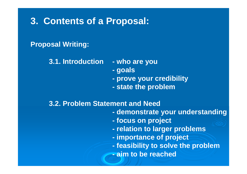### **Proposal Writing:**

- **3.1. Introduction - who are you**
	- **goals**
	- **prove your credibility**
	- **state the problem**

#### **3.2. Problem Statement and Need**

- **demonstrate your understanding**
- **focus on project**
- **relation to larger problems**
- **importance of project**
- **feasibility to solve the problem**
- **- aim to be reached**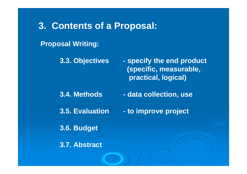### **Proposal Writing:**

**3.3. Objectives - specify the end product (specific, measurable,**

**practical, logical)**

- **3.4. Methods - data collection, use**
- **3.5. Evaluation - to improve project**

**3.6. Budget**

**3.7. Abstract**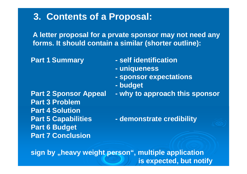**A letter proposal for a prvate sponsor may not need any forms. It should contain a similar (shorter outline):**

- **Part 1 Summary - self identification**
	- **uniqueness**
	- **sponsor expectations**
	- **budget**

**Part 3 ProblemPart 4 Solution Part 6 Budget Part 7 Conclusion**

**Part 2 Sponsor Appeal - why to approach this sponsor**

**Part 5 Capabilities - demonstrate credibility**

**sign by "heavy weight person", multiple application is expected, but notify**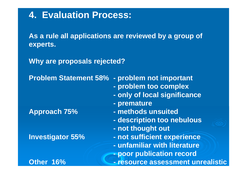# **4. Evaluation Process:**

**As a rule all applications are reviewed by a group of experts.**

**Why are proposals rejected?**

**Problem Statement 58% - problem not important**

- **problem too complex**
- **only of local significance**
- **- premature**
- **Approach 75% - methods unsuited**
	- **description too nebulous**
	- **not thought out**
- **Investigator 55% - not sufficient experience**
	- **- unfamiliar with literature**
	- **poor publication record**
- **Other 16% - resource assessment unrealistic**